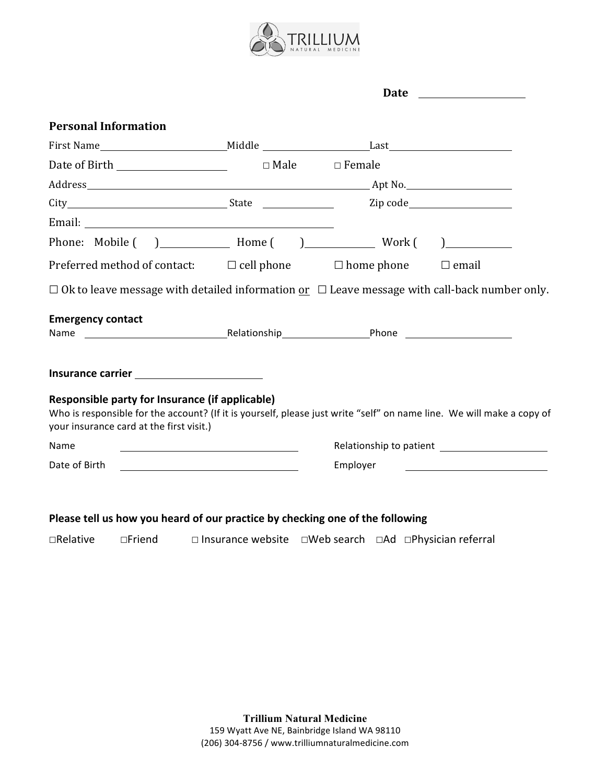

| <b>Personal Information</b><br>$\Box$ Ok to leave message with detailed information <u>or</u> $\Box$ Leave message with call-back number only.                    |                                                 | Date |  |  |
|-------------------------------------------------------------------------------------------------------------------------------------------------------------------|-------------------------------------------------|------|--|--|
|                                                                                                                                                                   |                                                 |      |  |  |
|                                                                                                                                                                   |                                                 |      |  |  |
|                                                                                                                                                                   |                                                 |      |  |  |
| City Zip code<br>Preferred method of contact: $\Box$ cell phone $\Box$ home phone $\Box$ email<br><b>Emergency contact</b>                                        |                                                 |      |  |  |
|                                                                                                                                                                   |                                                 |      |  |  |
|                                                                                                                                                                   |                                                 |      |  |  |
|                                                                                                                                                                   |                                                 |      |  |  |
|                                                                                                                                                                   |                                                 |      |  |  |
|                                                                                                                                                                   |                                                 |      |  |  |
|                                                                                                                                                                   |                                                 |      |  |  |
|                                                                                                                                                                   |                                                 |      |  |  |
| Who is responsible for the account? (If it is yourself, please just write "self" on name line. We will make a copy of<br>your insurance card at the first visit.) | Responsible party for Insurance (if applicable) |      |  |  |
| Name                                                                                                                                                              |                                                 |      |  |  |
| Date of Birth<br>Employer                                                                                                                                         |                                                 |      |  |  |

# Please tell us how you heard of our practice by checking one of the following

**□Relative** □Friend □ Insurance website □Web search □Ad □Physician referral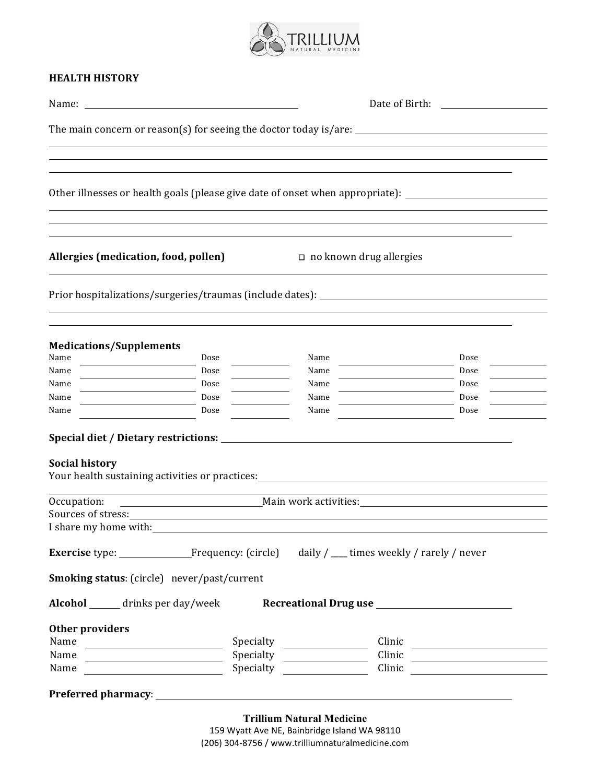

### **HEALTH HISTORY**

|                                                                                                                                   |                                                                                                     | The main concern or reason(s) for seeing the doctor today is/are: __________________________________                                                  |                                                                                                                                                                                                                                     |  |  |  |  |
|-----------------------------------------------------------------------------------------------------------------------------------|-----------------------------------------------------------------------------------------------------|-------------------------------------------------------------------------------------------------------------------------------------------------------|-------------------------------------------------------------------------------------------------------------------------------------------------------------------------------------------------------------------------------------|--|--|--|--|
|                                                                                                                                   |                                                                                                     |                                                                                                                                                       |                                                                                                                                                                                                                                     |  |  |  |  |
|                                                                                                                                   |                                                                                                     |                                                                                                                                                       |                                                                                                                                                                                                                                     |  |  |  |  |
|                                                                                                                                   | Other illnesses or health goals (please give date of onset when appropriate): _____________________ |                                                                                                                                                       |                                                                                                                                                                                                                                     |  |  |  |  |
|                                                                                                                                   |                                                                                                     |                                                                                                                                                       |                                                                                                                                                                                                                                     |  |  |  |  |
| Allergies (medication, food, pollen)                                                                                              |                                                                                                     | $\Box$ no known drug allergies                                                                                                                        |                                                                                                                                                                                                                                     |  |  |  |  |
|                                                                                                                                   |                                                                                                     | Prior hospitalizations/surgeries/traumas (include dates): ______________________                                                                      |                                                                                                                                                                                                                                     |  |  |  |  |
| <b>Medications/Supplements</b>                                                                                                    |                                                                                                     |                                                                                                                                                       |                                                                                                                                                                                                                                     |  |  |  |  |
| Name<br>Name                                                                                                                      | Dose                                                                                                | Name                                                                                                                                                  | Dose                                                                                                                                                                                                                                |  |  |  |  |
| Name                                                                                                                              | Dose<br>Dose                                                                                        | Name<br>Name                                                                                                                                          | Dose<br>Dose                                                                                                                                                                                                                        |  |  |  |  |
| Name                                                                                                                              | Dose                                                                                                | Name                                                                                                                                                  | Dose                                                                                                                                                                                                                                |  |  |  |  |
| Name                                                                                                                              | Dose                                                                                                | Name                                                                                                                                                  | Dose                                                                                                                                                                                                                                |  |  |  |  |
| <b>Social history</b>                                                                                                             |                                                                                                     | Your health sustaining activities or practices:<br>Nour health sustaining activities or practices:<br>Nour health sustaining activities or practices: |                                                                                                                                                                                                                                     |  |  |  |  |
| Occupation:                                                                                                                       |                                                                                                     | Main work activities: Main work and Main work and Main work activities:                                                                               |                                                                                                                                                                                                                                     |  |  |  |  |
| Sources of stress:                                                                                                                |                                                                                                     |                                                                                                                                                       |                                                                                                                                                                                                                                     |  |  |  |  |
| I share my home with:                                                                                                             |                                                                                                     |                                                                                                                                                       |                                                                                                                                                                                                                                     |  |  |  |  |
|                                                                                                                                   |                                                                                                     | <b>Exercise</b> type: Frequency: (circle) daily / __ times weekly / rarely / never                                                                    |                                                                                                                                                                                                                                     |  |  |  |  |
| Smoking status: (circle) never/past/current                                                                                       |                                                                                                     |                                                                                                                                                       |                                                                                                                                                                                                                                     |  |  |  |  |
|                                                                                                                                   |                                                                                                     | Alcohol ______ drinks per day/week <b>Recreational Drug use</b>                                                                                       |                                                                                                                                                                                                                                     |  |  |  |  |
| Other providers                                                                                                                   |                                                                                                     |                                                                                                                                                       |                                                                                                                                                                                                                                     |  |  |  |  |
| Name<br><u> Alexandria (Carlo Carlo Carlo Carlo Carlo Carlo Carlo Carlo Carlo Carlo Carlo Carlo Carlo Carlo Carlo Carlo Carlo</u> |                                                                                                     | Specialty                                                                                                                                             | Clinic <u>and</u> the contract of the contract of the contract of the contract of the contract of the contract of the contract of the contract of the contract of the contract of the contract of the contract of the contract of t |  |  |  |  |
| Name                                                                                                                              |                                                                                                     |                                                                                                                                                       |                                                                                                                                                                                                                                     |  |  |  |  |
|                                                                                                                                   | Specialty                                                                                           |                                                                                                                                                       | Clinic                                                                                                                                                                                                                              |  |  |  |  |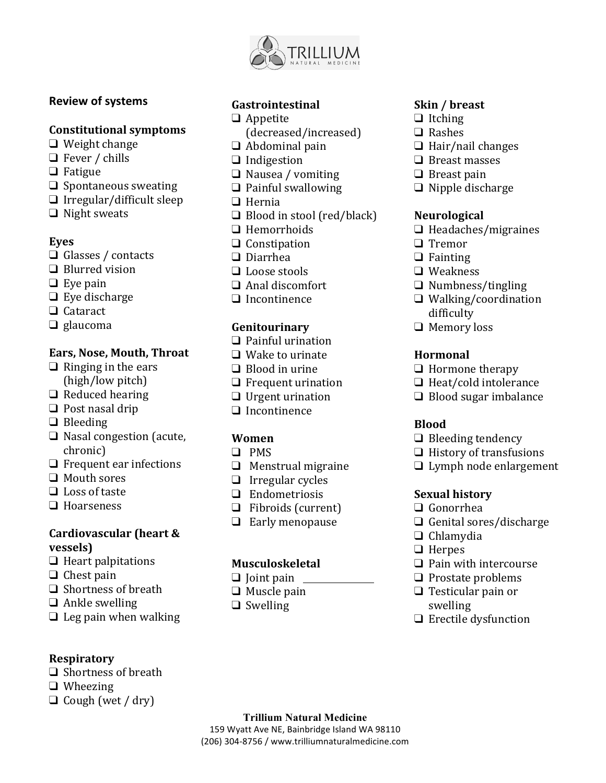

# **Review of systems**

## **Constitutional symptoms**

- $\Box$  Weight change
- $\Box$  Fever / chills
- ❑ Fatigue
- $\Box$  Spontaneous sweating
- $\Box$  Irregular/difficult sleep
- $\Box$  Night sweats

## **Eyes**

- □ Glasses / contacts
- $\Box$  Blurred vision
- $\Box$  Eve pain
- $\Box$  Eye discharge
- ❑ Cataract
- ❑ glaucoma

# Ears, Nose, Mouth, Throat

- $\Box$  Ringing in the ears (high/low pitch)
- $\Box$  Reduced hearing
- $\Box$  Post nasal drip
- ❑ Bleeding
- □ Nasal congestion (acute, chronic)
- $\Box$  Frequent ear infections
- $\Box$  Mouth sores
- $\Box$  Loss of taste
- ❑ Hoarseness

## **Cardiovascular (heart & vessels)**

- $\Box$  Heart palpitations
- $\Box$  Chest pain
- $\Box$  Shortness of breath
- $\Box$  Ankle swelling
- $\Box$  Leg pain when walking

# **Respiratory**

- $\Box$  Shortness of breath
- ❑ Wheezing
- $\Box$  Cough (wet / dry)

# **Gastrointestinal**

- ❑ Appetite
	- (decreased/increased)
- $\Box$  Abdominal pain
- ❑ Indigestion
- ❑ Nausea / vomiting
- $\Box$  Painful swallowing
- ❑ Hernia
- $\Box$  Blood in stool (red/black)
- ❑ Hemorrhoids
- ❑ Constipation
- ❑ Diarrhea
- $\Box$  Loose stools
- $\Box$  Anal discomfort
- ❑ Incontinence

# **Genitourinary**

- $\Box$  Painful urination
- $\Box$  Wake to urinate
- $\Box$  Blood in urine
- $\Box$  Frequent urination
- $\Box$  Urgent urination
- ❑ Incontinence

# **Women**

- ❑ PMS
- $\Box$  Menstrual migraine
- $\Box$  Irregular cycles
- ❑ Endometriosis
- $\Box$  Fibroids (current)
- □ Early menopause

# **Musculoskeletal**

**Trillium Natural Medicine** 159 Wyatt Ave NE, Bainbridge Island WA 98110 (206) 304-8756 / www.trilliumnaturalmedicine.com

- $\Box$  Joint pain
- $\Box$  Muscle pain
- ❑ Swelling

# **Skin / breast**

- ❑ Itching
- ❑ Rashes
- $\Box$  Hair/nail changes
- $\Box$  Breast masses
- $\Box$  Breast pain
- $\Box$  Nipple discharge

## **Neurological**

- ❑ Headaches/migraines
- ❑ Tremor
- ❑ Fainting
- ❑ Weakness
- ❑ Numbness/tingling
- ❑ Walking/coordination difficulty
- □ Memory loss

## **Hormonal**

- $\Box$  Hormone therapy
- $\Box$  Heat/cold intolerance
- $\Box$  Blood sugar imbalance

# **Blood**

- $\Box$  Bleeding tendency
- $\Box$  History of transfusions
- $\Box$  Lymph node enlargement

# **Sexual history**

- ❑ Gonorrhea
- $\Box$  Genital sores/discharge
- ❑ Chlamydia
- ❑ Herpes
- $\Box$  Pain with intercourse
- $\Box$  Prostate problems
- $\Box$  Testicular pain or swelling

 $\Box$  Erectile dysfunction